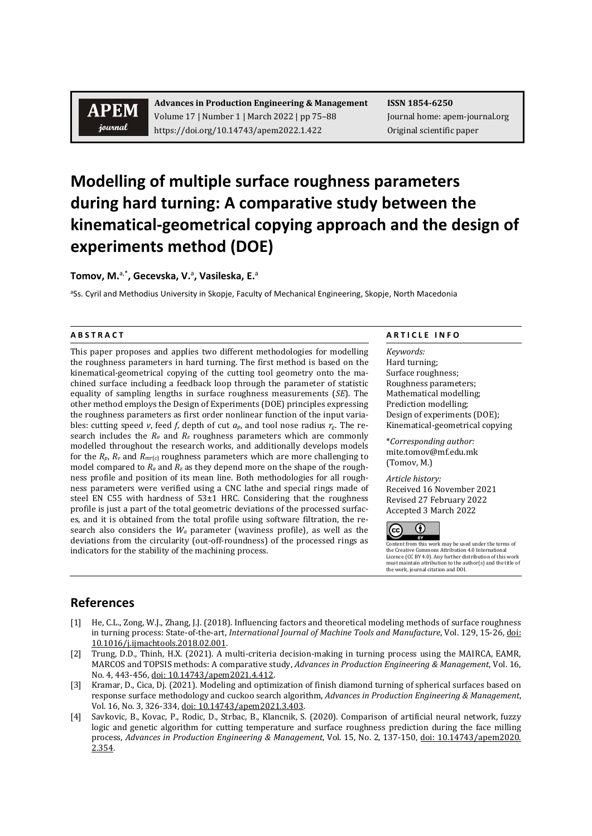## **APEM** journal

**Advances in Production Engineering & Management ISSN 1854-6250** Volume 17 | Number 1 | March 2022 | pp 75–88 Journal home: apem-journal.org https://doi.org/10.14743/apem2022.1.422 Original scientific paper

# **Modelling of multiple surface roughness parameters during hard turning: A comparative study between the kinematical-geometrical copying approach and the design of experiments method (DOE)**

**Tomov, M.**a,\***, Gecevska, V.**<sup>a</sup> **, Vasileska, E.**<sup>a</sup>

<sup>a</sup>Ss. Cyril and Methodius University in Skopje, Faculty of Mechanical Engineering, Skopje, North Macedonia

This paper proposes and applies two different methodologies for modelling the roughness parameters in hard turning. The first method is based on the kinematical-geometrical copying of the cutting tool geometry onto the machined surface including a feedback loop through the parameter of statistic equality of sampling lengths in surface roughness measurements (*SE*). The other method employs the Design of Experiments (DOE) principles expressing the roughness parameters as first order nonlinear function of the input variables: cutting speed *v*, feed *f*, depth of cut  $a_p$ , and tool nose radius  $r_s$ . The research includes the *Ra* and *Rz* roughness parameters which are commonly modelled throughout the research works, and additionally develops models for the  $R_p$ ,  $R_v$  and  $R_{mr(c)}$  roughness parameters which are more challenging to model compared to  $R_a$  and  $R_z$  as they depend more on the shape of the roughness profile and position of its mean line. Both methodologies for all roughness parameters were verified using a CNC lathe and special rings made of steel EN C55 with hardness of 53±1 HRC. Considering that the roughness profile is just a part of the total geometric deviations of the processed surfaces, and it is obtained from the total profile using software filtration, the research also considers the *Wa* parameter (waviness profile), as well as the deviations from the circularity (out-off-roundness) of the processed rings as indicators for the stability of the machining process.

### **A B S T R A C T A R T I C L E I N F O**

*Keywords:* Hard turning; Surface roughness; Roughness parameters; Mathematical modelling; Prediction modelling; Design of experiments (DOE); Kinematical-geometrical copying

\**Corresponding author:*  mite.tomov@mf.edu.mk (Tomov, M.)

*Article history:* 

Received 16 November 2021 Revised 27 February 2022 Accepted 3 March 2022



Content from this work may be used under the terms of the Creative Commons Attribution 4.0 International Licence (CC BY 4.0). Any further distribution of this work must maintain attribution to the author(s) and the title of the work, journal citation and DOI.

### **References**

- [1] He, C.L., Zong, W.J., Zhang, J.J. (2018). Influencing factors and theoretical modeling methods of surface roughness in turning process: State-of-the-art, *International Journal of Machine Tools and Manufacture*, Vol. 129, 15-26, [doi:](https://doi.org/10.1016/j.ijmachtools.2018.02.001)  [10.1016/j.ijmachtools.2018.02.001.](https://doi.org/10.1016/j.ijmachtools.2018.02.001)
- [2] Trung, D.D., Thinh, H.X. (2021). A multi-criteria decision-making in turning process using the MAIRCA, EAMR, MARCOS and TOPSIS methods: A comparative study, *Advances in Production Engineering & Management*, Vol. 16, No. 4, 443-456, doi: [10.14743/apem2021.4.412.](https://doi.org/10.14743/apem2021.4.412)
- [3] Kramar, D., Cica, Dj. (2021). Modeling and optimization of finish diamond turning of spherical surfaces based on response surface methodology and cuckoo search algorithm, *Advances in Production Engineering & Management*, Vol. 16, No. 3, 326-334, doi: [10.14743/apem2021.3.403.](https://doi.org/10.14743/apem2021.3.403)
- [4] Savkovic, B., Kovac, P., Rodic, D., Strbac, B., Klancnik, S. (2020). Comparison of artificial neural network, fuzzy logic and genetic algorithm for cutting temperature and surface roughness prediction during the face milling process, *Advances in Production Engineering & Management*, Vol. 15, No. 2, 137-150, doi: [10.14743/apem2020.](https://doi.org/10.14743/apem2020.2.354) [2.354.](https://doi.org/10.14743/apem2020.2.354)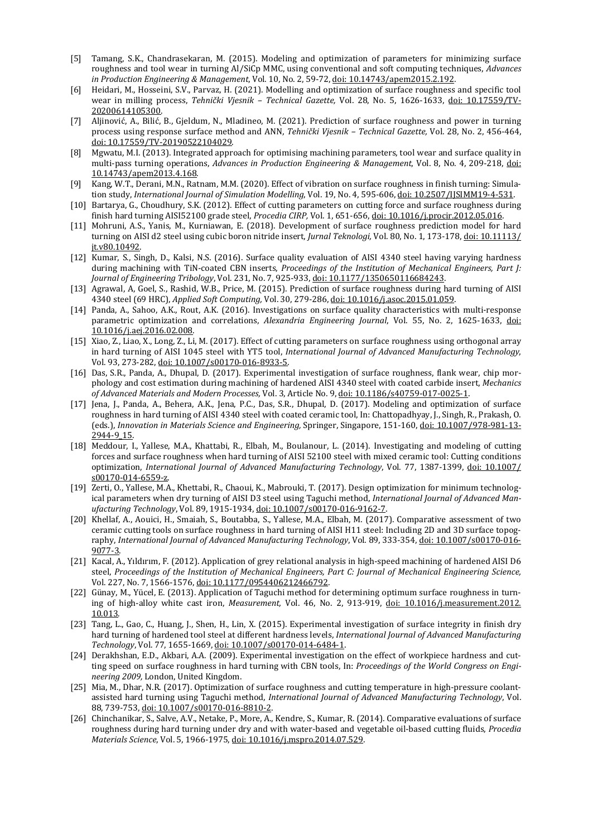- [5] Tamang, S.K., Chandrasekaran, M. (2015). Modeling and optimization of parameters for minimizing surface roughness and tool wear in turning Al/SiCp MMC, using conventional and soft computing techniques, *Advances in Production Engineering & Management*, Vol. 10, No. 2, 59-72, doi: [10.14743/apem2015.2.192.](https://doi.org/10.14743/apem2015.2.192)
- [6] Heidari, M., Hosseini, S.V., Parvaz, H. (2021). Modelling and optimization of surface roughness and specific tool wear in milling process, *Tehnički Vjesnik – Technical Gazette,* Vol. 28, No. 5, 1626-1633, doi: [10.17559/TV-](https://doi.org/10.17559/TV-20200614105300)[20200614105300.](https://doi.org/10.17559/TV-20200614105300)
- [7] Aljinović, A., Bilić, B., Gjeldum, N., Mladineo, M. (2021). Prediction of surface roughness and power in turning process using response surface method and ANN, *Tehnički Vjesnik – Technical Gazette,* Vol. 28, No. 2, 456-464, doi: [10.17559/TV-20190522104029.](https://doi.org/10.17559/TV-20190522104029)
- [8] Mgwatu, M.I. (2013). Integrated approach for optimising machining parameters, tool wear and surface quality in multi-pass turning operations, *Advances in Production Engineering & Management*, Vol. 8, No. 4, 209-218, [doi:](https://doi.org/10.14743/apem2013.4.168) [10.14743/apem2013.4.168.](https://doi.org/10.14743/apem2013.4.168)
- [9] Kang, W.T., Derani, M.N., Ratnam, M.M. (2020). Effect of vibration on surface roughness in finish turning: Simulation study, *International Journal of Simulation Modelling*, Vol. 19, No. 4, 595-606, doi: [10.2507/IJSIMM19-4-531.](https://doi.org/10.2507/IJSIMM19-4-531)
- [10] Bartarya, G., Choudhury, S.K. (2012). Effect of cutting parameters on cutting force and surface roughness during finish hard turning AISI52100 grade steel, *Procedia CIRP,* Vol. 1, 651-656[, doi: 10.1016/j.procir.2012.05.016.](https://doi.org/10.1016/j.procir.2012.05.016)
- [11] Mohruni, A.S., Yanis, M., Kurniawan, E. (2018). Development of surface roughness prediction model for hard turning on AISI d2 steel using cubic boron nitride insert, *Jurnal Teknologi,* Vol. 80, No. 1, 173-178[, doi: 10.11113/](https://doi.org/10.11113/jt.v80.10492) [jt.v80.10492.](https://doi.org/10.11113/jt.v80.10492)
- [12] Kumar, S., Singh, D., Kalsi, N.S. (2016). Surface quality evaluation of AISI 4340 steel having varying hardness during machining with TiN-coated CBN inserts, *Proceedings of the Institution of Mechanical Engineers, Part J: Journal of Engineering Tribology*, Vol. 231, No. 7, 925-933, [doi: 10.1177/1350650116684243.](https://doi.org/10.1177/1350650116684243)
- [13] Agrawal, A, Goel, S., Rashid, W.B., Price, M. (2015). Prediction of surface roughness during hard turning of AISI 4340 steel (69 HRC), *Applied Soft Computing,* Vol. 30, 279-286[, doi: 10.1016/j.asoc.2015.01.059.](https://doi.org/10.1016/j.asoc.2015.01.059)
- [14] Panda, A., Sahoo, A.K., Rout, A.K. (2016). Investigations on surface quality characteristics with multi-response parametric optimization and correlations, *Alexandria Engineering Journal*, Vol. 55, No. 2, 1625-1633, [doi:](https://doi.org/10.1016/j.aej.2016.02.008)  [10.1016/j.aej.2016.02.008.](https://doi.org/10.1016/j.aej.2016.02.008)
- [15] Xiao, Z., Liao, X., Long, Z., Li, M. (2017). Effect of cutting parameters on surface roughness using orthogonal array in hard turning of AISI 1045 steel with YT5 tool, *International Journal of Advanced Manufacturing Technology*, Vol. 93, 273-282[, doi: 10.1007/s00170-016-8933-5.](https://doi.org/10.1007/s00170-016-8933-5)
- [16] Das, S.R., Panda, A., Dhupal, D. (2017). Experimental investigation of surface roughness, flank wear, chip morphology and cost estimation during machining of hardened AISI 4340 steel with coated carbide insert, *Mechanics of Advanced Materials and Modern Processes,* Vol. 3, Article No. 9[, doi: 10.1186/s40759-017-0025-1.](https://doi.org/10.1186/s40759-017-0025-1)
- [17] Jena, J., Panda, A., Behera, A.K., Jena, P.C., Das, S.R., Dhupal, D. (2017). Modeling and optimization of surface roughness in hard turning of AISI 4340 steel with coated ceramic tool, In: Chattopadhyay, J., Singh, R., Prakash, O. (eds.), *Innovation in Materials Science and Engineering,* Springer, Singapore, 151-160[, doi: 10.1007/978-981-13-](https://doi.org/10.1007/978-981-13-2944-9_15) [2944-9\\_15.](https://doi.org/10.1007/978-981-13-2944-9_15)
- [18] Meddour, I., Yallese, M.A., Khattabi, R., Elbah, M., Boulanour, L. (2014). Investigating and modeling of cutting forces and surface roughness when hard turning of AISI 52100 steel with mixed ceramic tool: Cutting conditions optimization, *International Journal of Advanced Manufacturing Technology*, Vol. 77, 1387-1399, [doi: 10.1007/](https://doi.org/10.1007/s00170-014-6559-z) [s00170-014-6559-z.](https://doi.org/10.1007/s00170-014-6559-z)
- [19] Zerti, O., Yallese, M.A., Khettabi, R., Chaoui, K., Mabrouki, T. (2017). Design optimization for minimum technological parameters when dry turning of AISI D3 steel using Taguchi method, *International Journal of Advanced Manufacturing Technology*, Vol. 89, 1915-1934[, doi: 10.1007/s00170-016-9162-7.](https://doi.org/10.1007/s00170-016-9162-7)
- [20] Khellaf, A., Aouici, H., Smaiah, S., Boutabba, S., Yallese, M.A., Elbah, M. (2017). Comparative assessment of two ceramic cutting tools on surface roughness in hard turning of AISI H11 steel: Including 2D and 3D surface topography, *International Journal of Advanced Manufacturing Technology*, Vol. 89, 333-354, [doi: 10.1007/s00170-016-](https://doi.org/10.1007/s00170-016-9077-3) [9077-3.](https://doi.org/10.1007/s00170-016-9077-3)
- [21] Kacal, A., Yıldırım, F. (2012). Application of grey relational analysis in high-speed machining of hardened AISI D6 steel, *Proceedings of the Institution of Mechanical Engineers, Part C: Journal of Mechanical Engineering Science,* Vol. 227, No. 7, 1566-1576[, doi: 10.1177/0954406212466792.](https://doi.org/10.1177/0954406212466792)
- [22] Günay, M., Yücel, E. (2013). Application of Taguchi method for determining optimum surface roughness in turning of high-alloy white cast iron, *Measurement,* Vol. 46, No. 2, 913-919, [doi: 10.1016/j.measurement.2012.](https://doi.org/10.1016/j.measurement.2012.10.013) [10.013.](https://doi.org/10.1016/j.measurement.2012.10.013)
- [23] Tang, L., Gao, C., Huang, J., Shen, H., Lin, X. (2015). Experimental investigation of surface integrity in finish dry hard turning of hardened tool steel at different hardness levels, *International Journal of Advanced Manufacturing Technology*, Vol. 77, 1655-1669[, doi: 10.1007/s00170-014-6484-1.](https://doi.org/10.1007/s00170-014-6484-1)
- [24] Derakhshan, E.D., Akbari, A.A. (2009). Experimental investigation on the effect of workpiece hardness and cutting speed on surface roughness in hard turning with CBN tools, In: *Proceedings of the World Congress on Engineering 2009,* London, United Kingdom.
- [25] Mia, M., Dhar, N.R. (2017). Optimization of surface roughness and cutting temperature in high-pressure coolantassisted hard turning using Taguchi method, *International Journal of Advanced Manufacturing Technology*, Vol. 88, 739-753[, doi: 10.1007/s00170-016-8810-2.](https://doi.org/10.1007/s00170-016-8810-2)
- [26] Chinchanikar, S., Salve, A.V., Netake, P., More, A., Kendre, S., Kumar, R. (2014). Comparative evaluations of surface roughness during hard turning under dry and with water-based and vegetable oil-based cutting fluids, *Procedia Materials Science*, Vol. 5, 1966-1975[, doi: 10.1016/j.mspro.2014.07.529.](https://doi.org/10.1016/j.mspro.2014.07.529)